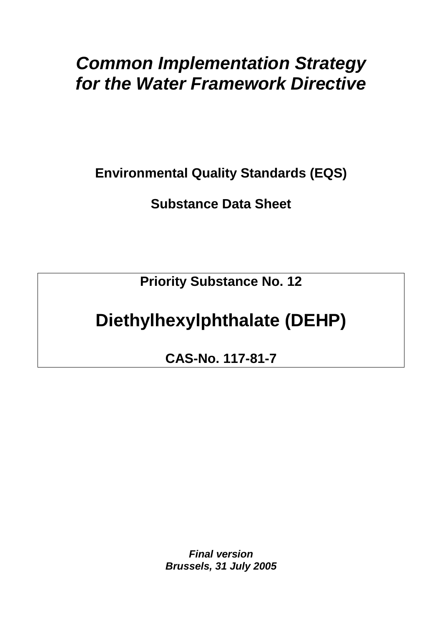# *Common Implementation Strategy for the Water Framework Directive*

**Environmental Quality Standards (EQS)** 

**Substance Data Sheet** 

**Priority Substance No. 12** 

# **Diethylhexylphthalate (DEHP)**

**CAS-No. 117-81-7** 

*Final version Brussels, 31 July 2005*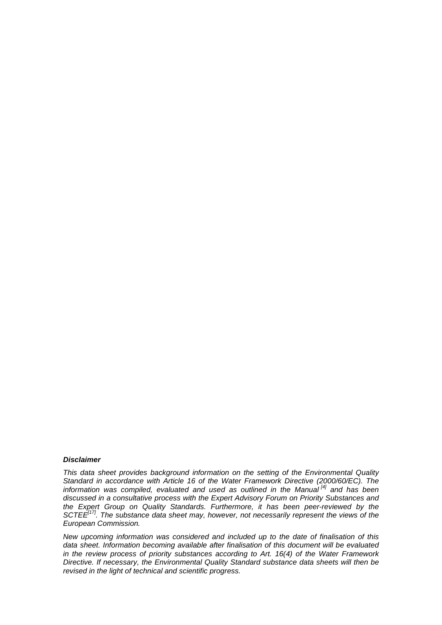#### *Disclaimer*

*This data sheet provides background information on the setting of the Environmental Quality Standard in accordance with Article 16 of the Water Framework Directive (2000/60/EC). The information was compiled, evaluated and used as outlined in the Manual [4] and has been discussed in a consultative process with the Expert Advisory Forum on Priority Substances and the Expert Group on Quality Standards. Furthermore, it has been peer-reviewed by the SCTEE<sup>[17]</sup>. The substance data sheet may, however, not necessarily represent the views of the European Commission.* 

*New upcoming information was considered and included up to the date of finalisation of this data sheet. Information becoming available after finalisation of this document will be evaluated in the review process of priority substances according to Art. 16(4) of the Water Framework Directive. If necessary, the Environmental Quality Standard substance data sheets will then be revised in the light of technical and scientific progress.*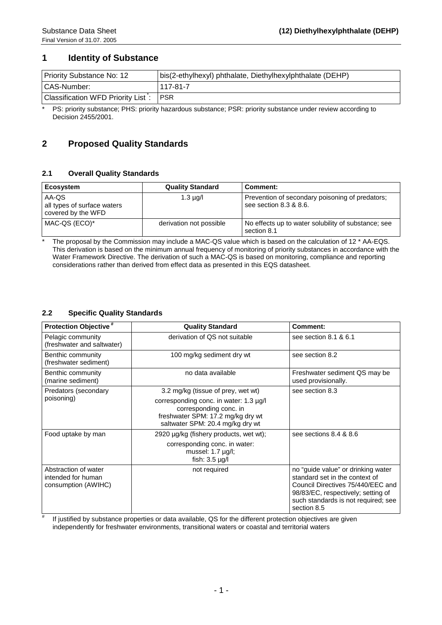### **1 Identity of Substance**

| <b>Priority Substance No: 12</b>   | bis(2-ethylhexyl) phthalate, Diethylhexylphthalate (DEHP) |
|------------------------------------|-----------------------------------------------------------|
| CAS-Number:                        | 117-81-7                                                  |
| Classification WFD Priority List : | <b>PSR</b>                                                |

\* PS: priority substance; PHS: priority hazardous substance; PSR: priority substance under review according to Decision 2455/2001.

## **2 Proposed Quality Standards**

#### **2.1 Overall Quality Standards**

| Ecosystem                                                  | <b>Quality Standard</b> | Comment:                                                                  |
|------------------------------------------------------------|-------------------------|---------------------------------------------------------------------------|
| AA-QS<br>all types of surface waters<br>covered by the WFD | $1.3 \mu q/l$           | Prevention of secondary poisoning of predators;<br>see section 8.3 & 8.6. |
| MAC-QS (ECO)*                                              | derivation not possible | No effects up to water solubility of substance; see<br>section 8.1        |

The proposal by the Commission may include a MAC-QS value which is based on the calculation of 12 \* AA-EQS. This derivation is based on the minimum annual frequency of monitoring of priority substances in accordance with the Water Framework Directive. The derivation of such a MAC-QS is based on monitoring, compliance and reporting considerations rather than derived from effect data as presented in this EQS datasheet.

#### **2.2 Specific Quality Standards**

#

| <b>Protection Objective</b> <sup>#</sup>                          | <b>Quality Standard</b>                                                                                                                   | Comment:                                                                                                                                                                                              |
|-------------------------------------------------------------------|-------------------------------------------------------------------------------------------------------------------------------------------|-------------------------------------------------------------------------------------------------------------------------------------------------------------------------------------------------------|
| Pelagic community<br>(freshwater and saltwater)                   | derivation of QS not suitable                                                                                                             | see section 8.1 & 6.1                                                                                                                                                                                 |
| Benthic community<br>(freshwater sediment)                        | 100 mg/kg sediment dry wt                                                                                                                 | see section 8.2                                                                                                                                                                                       |
| Benthic community<br>(marine sediment)                            | no data available                                                                                                                         | Freshwater sediment QS may be<br>used provisionally.                                                                                                                                                  |
| Predators (secondary                                              | 3.2 mg/kg (tissue of prey, wet wt)                                                                                                        | see section 8.3                                                                                                                                                                                       |
| poisoning)                                                        | corresponding conc. in water: 1.3 µg/l<br>corresponding conc. in<br>freshwater SPM: 17.2 mg/kg dry wt<br>saltwater SPM: 20.4 mg/kg dry wt |                                                                                                                                                                                                       |
| Food uptake by man                                                | 2920 µg/kg (fishery products, wet wt);                                                                                                    | see sections 8.4 & 8.6                                                                                                                                                                                |
|                                                                   | corresponding conc. in water:<br>mussel: $1.7 \mu g/l$ ;<br>fish: $3.5 \mu$ g/l                                                           |                                                                                                                                                                                                       |
| Abstraction of water<br>intended for human<br>consumption (AWIHC) | not required                                                                                                                              | no "guide value" or drinking water<br>standard set in the context of<br>Council Directives 75/440/EEC and<br>98/83/EC, respectively; setting of<br>such standards is not required; see<br>section 8.5 |

 If justified by substance properties or data available, QS for the different protection objectives are given independently for freshwater environments, transitional waters or coastal and territorial waters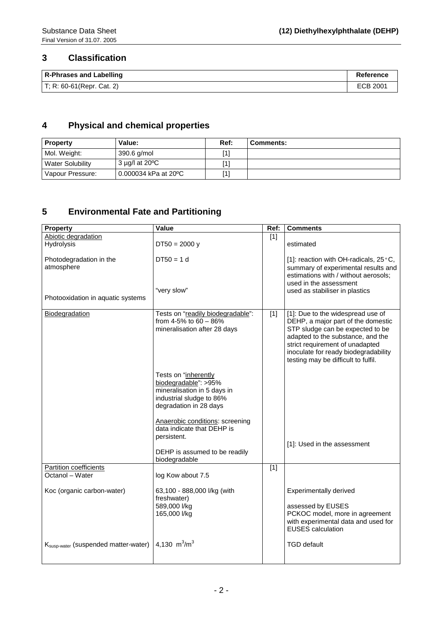## **3 Classification**

| <b>R-Phrases and Labelling</b> | Reference |
|--------------------------------|-----------|
| $T$ ; R: 60-61 (Repr. Cat. 2)  | ECB 2001  |

# **4 Physical and chemical properties**

| <b>Property</b>  | Value:                         | Ref: | <b>Comments:</b> |
|------------------|--------------------------------|------|------------------|
| Mol. Weight:     | 390.6 g/mol                    | [1]  |                  |
| Water Solubility | $3 \mu g/l$ at 20 $^{\circ}$ C | [1]  |                  |
| Vapour Pressure: | 0.000034 kPa at 20 °C          | [1]  |                  |

# **5 Environmental Fate and Partitioning**

| <b>Property</b>                                  | <b>Value</b>                                        | Ref:             | <b>Comments</b>                                                      |
|--------------------------------------------------|-----------------------------------------------------|------------------|----------------------------------------------------------------------|
| Abiotic degradation                              |                                                     | $[1]$            |                                                                      |
| Hydrolysis                                       | $DT50 = 2000 y$                                     |                  | estimated                                                            |
| Photodegradation in the                          | $DT50 = 1 d$                                        |                  | [1]: reaction with OH-radicals, 25°C,                                |
| atmosphere                                       |                                                     |                  | summary of experimental results and                                  |
|                                                  |                                                     |                  | estimations with / without aerosols;                                 |
|                                                  |                                                     |                  | used in the assessment                                               |
| Photooxidation in aquatic systems                | "very slow"                                         |                  | used as stabiliser in plastics                                       |
|                                                  |                                                     |                  |                                                                      |
| Biodegradation                                   | Tests on "readily biodegradable":                   | $\boxed{1}$      | [1]: Due to the widespread use of                                    |
|                                                  | from 4-5% to 60 - 86%                               |                  | DEHP, a major part of the domestic                                   |
|                                                  | mineralisation after 28 days                        |                  | STP sludge can be expected to be                                     |
|                                                  |                                                     |                  | adapted to the substance, and the<br>strict requirement of unadapted |
|                                                  |                                                     |                  | inoculate for ready biodegradability                                 |
|                                                  |                                                     |                  | testing may be difficult to fulfil.                                  |
|                                                  |                                                     |                  |                                                                      |
|                                                  | Tests on "inherently                                |                  |                                                                      |
|                                                  | biodegradable": >95%<br>mineralisation in 5 days in |                  |                                                                      |
|                                                  | industrial sludge to 86%                            |                  |                                                                      |
|                                                  | degradation in 28 days                              |                  |                                                                      |
|                                                  |                                                     |                  |                                                                      |
|                                                  | Anaerobic conditions: screening                     |                  |                                                                      |
|                                                  | data indicate that DEHP is                          |                  |                                                                      |
|                                                  | persistent.                                         |                  | [1]: Used in the assessment                                          |
|                                                  | DEHP is assumed to be readily                       |                  |                                                                      |
|                                                  | biodegradable                                       |                  |                                                                      |
| Partition coefficients                           |                                                     | $\overline{[1]}$ |                                                                      |
| Octanol - Water                                  | log Kow about 7.5                                   |                  |                                                                      |
| Koc (organic carbon-water)                       | 63,100 - 888,000 l/kg (with                         |                  | <b>Experimentally derived</b>                                        |
|                                                  | freshwater)                                         |                  |                                                                      |
|                                                  | 589,000 l/kg                                        |                  | assessed by EUSES                                                    |
|                                                  | 165,000 l/kg                                        |                  | PCKOC model, more in agreement                                       |
|                                                  |                                                     |                  | with experimental data and used for<br><b>EUSES</b> calculation      |
|                                                  |                                                     |                  |                                                                      |
| K <sub>susp-water</sub> (suspended matter-water) | 4,130 $m^3/m^3$                                     |                  | <b>TGD</b> default                                                   |
|                                                  |                                                     |                  |                                                                      |
|                                                  |                                                     |                  |                                                                      |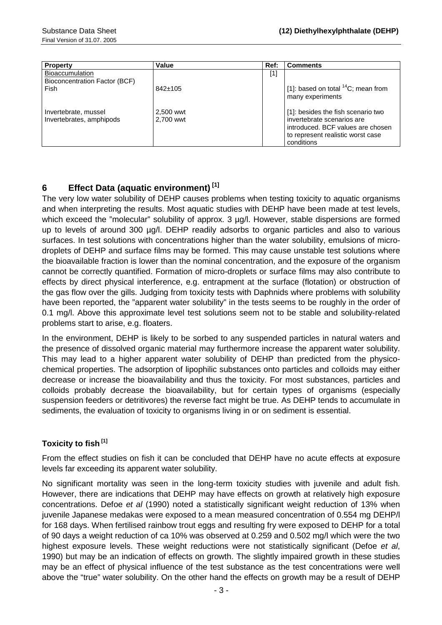| <b>Property</b>                                         | Value                  | Ref:  | <b>Comments</b>                                                                                                                                          |
|---------------------------------------------------------|------------------------|-------|----------------------------------------------------------------------------------------------------------------------------------------------------------|
| <b>Bioaccumulation</b><br>Bioconcentration Factor (BCF) |                        | $[1]$ |                                                                                                                                                          |
| Fish                                                    | $842 \pm 105$          |       | [1]: based on total ${}^{14}C$ ; mean from<br>many experiments                                                                                           |
| Invertebrate, mussel<br>Invertebrates, amphipods        | 2,500 wwt<br>2.700 wwt |       | [1]: besides the fish scenario two<br>invertebrate scenarios are<br>introduced. BCF values are chosen<br>to represent realistic worst case<br>conditions |

## **6 Effect Data (aquatic environment) [1]**

The very low water solubility of DEHP causes problems when testing toxicity to aquatic organisms and when interpreting the results. Most aquatic studies with DEHP have been made at test levels, which exceed the "molecular" solubility of approx. 3 µg/l. However, stable dispersions are formed up to levels of around 300 µg/l. DEHP readily adsorbs to organic particles and also to various surfaces. In test solutions with concentrations higher than the water solubility, emulsions of microdroplets of DEHP and surface films may be formed. This may cause unstable test solutions where the bioavailable fraction is lower than the nominal concentration, and the exposure of the organism cannot be correctly quantified. Formation of micro-droplets or surface films may also contribute to effects by direct physical interference, e.g. entrapment at the surface (flotation) or obstruction of the gas flow over the gills. Judging from toxicity tests with Daphnids where problems with solubility have been reported, the "apparent water solubility" in the tests seems to be roughly in the order of 0.1 mg/l. Above this approximate level test solutions seem not to be stable and solubility-related problems start to arise, e.g. floaters.

In the environment, DEHP is likely to be sorbed to any suspended particles in natural waters and the presence of dissolved organic material may furthermore increase the apparent water solubility. This may lead to a higher apparent water solubility of DEHP than predicted from the physicochemical properties. The adsorption of lipophilic substances onto particles and colloids may either decrease or increase the bioavailability and thus the toxicity. For most substances, particles and colloids probably decrease the bioavailability, but for certain types of organisms (especially suspension feeders or detritivores) the reverse fact might be true. As DEHP tends to accumulate in sediments, the evaluation of toxicity to organisms living in or on sediment is essential.

### **Toxicity to fish [1]**

From the effect studies on fish it can be concluded that DEHP have no acute effects at exposure levels far exceeding its apparent water solubility.

No significant mortality was seen in the long-term toxicity studies with juvenile and adult fish. However, there are indications that DEHP may have effects on growth at relatively high exposure concentrations. Defoe *et al* (1990) noted a statistically significant weight reduction of 13% when juvenile Japanese medakas were exposed to a mean measured concentration of 0.554 mg DEHP/l for 168 days. When fertilised rainbow trout eggs and resulting fry were exposed to DEHP for a total of 90 days a weight reduction of ca 10% was observed at 0.259 and 0.502 mg/l which were the two highest exposure levels. These weight reductions were not statistically significant (Defoe *et al*, 1990) but may be an indication of effects on growth. The slightly impaired growth in these studies may be an effect of physical influence of the test substance as the test concentrations were well above the "true" water solubility. On the other hand the effects on growth may be a result of DEHP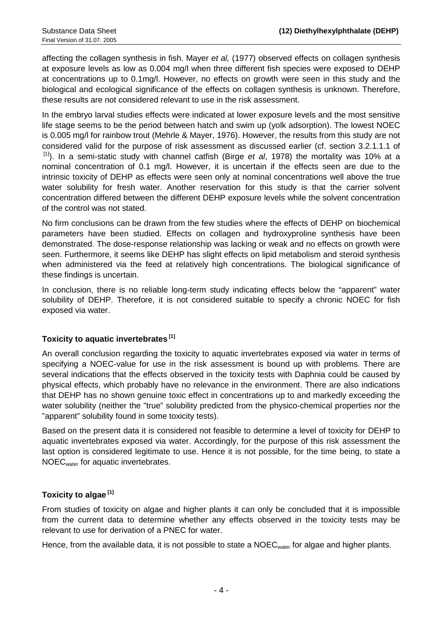affecting the collagen synthesis in fish. Mayer *et al,* (1977) observed effects on collagen synthesis at exposure levels as low as 0.004 mg/l when three different fish species were exposed to DEHP at concentrations up to 0.1mg/l. However, no effects on growth were seen in this study and the biological and ecological significance of the effects on collagen synthesis is unknown. Therefore, these results are not considered relevant to use in the risk assessment.

In the embryo larval studies effects were indicated at lower exposure levels and the most sensitive life stage seems to be the period between hatch and swim up (yolk adsorption). The lowest NOEC is 0.005 mg/l for rainbow trout (Mehrle & Mayer, 1976). However, the results from this study are not considered valid for the purpose of risk assessment as discussed earlier (cf. section 3.2.1.1.1 of [1]). In a semi-static study with channel catfish (Birge *et al*, 1978) the mortality was 10% at a nominal concentration of 0.1 mg/l. However, it is uncertain if the effects seen are due to the intrinsic toxicity of DEHP as effects were seen only at nominal concentrations well above the true water solubility for fresh water. Another reservation for this study is that the carrier solvent concentration differed between the different DEHP exposure levels while the solvent concentration of the control was not stated.

No firm conclusions can be drawn from the few studies where the effects of DEHP on biochemical parameters have been studied. Effects on collagen and hydroxyproline synthesis have been demonstrated. The dose-response relationship was lacking or weak and no effects on growth were seen. Furthermore, it seems like DEHP has slight effects on lipid metabolism and steroid synthesis when administered via the feed at relatively high concentrations. The biological significance of these findings is uncertain.

In conclusion, there is no reliable long-term study indicating effects below the "apparent" water solubility of DEHP. Therefore, it is not considered suitable to specify a chronic NOEC for fish exposed via water.

### **Toxicity to aquatic invertebrates [1]**

An overall conclusion regarding the toxicity to aquatic invertebrates exposed via water in terms of specifying a NOEC-value for use in the risk assessment is bound up with problems. There are several indications that the effects observed in the toxicity tests with Daphnia could be caused by physical effects, which probably have no relevance in the environment. There are also indications that DEHP has no shown genuine toxic effect in concentrations up to and markedly exceeding the water solubility (neither the "true" solubility predicted from the physico-chemical properties nor the "apparent" solubility found in some toxicity tests).

Based on the present data it is considered not feasible to determine a level of toxicity for DEHP to aquatic invertebrates exposed via water. Accordingly, for the purpose of this risk assessment the last option is considered legitimate to use. Hence it is not possible, for the time being, to state a NOECwater for aquatic invertebrates.

### **Toxicity to algae [1]**

From studies of toxicity on algae and higher plants it can only be concluded that it is impossible from the current data to determine whether any effects observed in the toxicity tests may be relevant to use for derivation of a PNEC for water.

Hence, from the available data, it is not possible to state a NOEC<sub>water</sub> for algae and higher plants.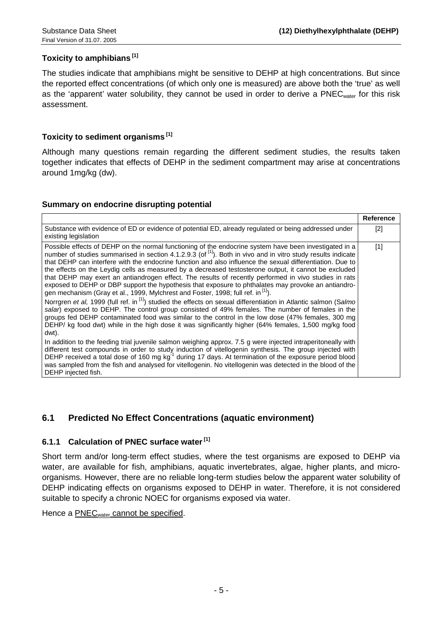#### **Toxicity to amphibians [1]**

The studies indicate that amphibians might be sensitive to DEHP at high concentrations. But since the reported effect concentrations (of which only one is measured) are above both the 'true' as well as the 'apparent' water solubility, they cannot be used in order to derive a PNEC<sub>water</sub> for this risk assessment.

#### **Toxicity to sediment organisms [1]**

Although many questions remain regarding the different sediment studies, the results taken together indicates that effects of DEHP in the sediment compartment may arise at concentrations around 1mg/kg (dw).

#### **Summary on endocrine disrupting potential**

|                                                                                                                                                                                                                                                                                                                                                                                                                                                                                                                                                                                                                                                                                                                                                                                                                                                                                                                                                                                                                                                                                                                                                                                                                                                                                                                                                                                                                                                                                                                                                                                   | <b>Reference</b> |
|-----------------------------------------------------------------------------------------------------------------------------------------------------------------------------------------------------------------------------------------------------------------------------------------------------------------------------------------------------------------------------------------------------------------------------------------------------------------------------------------------------------------------------------------------------------------------------------------------------------------------------------------------------------------------------------------------------------------------------------------------------------------------------------------------------------------------------------------------------------------------------------------------------------------------------------------------------------------------------------------------------------------------------------------------------------------------------------------------------------------------------------------------------------------------------------------------------------------------------------------------------------------------------------------------------------------------------------------------------------------------------------------------------------------------------------------------------------------------------------------------------------------------------------------------------------------------------------|------------------|
| Substance with evidence of ED or evidence of potential ED, already regulated or being addressed under<br>existing legislation                                                                                                                                                                                                                                                                                                                                                                                                                                                                                                                                                                                                                                                                                                                                                                                                                                                                                                                                                                                                                                                                                                                                                                                                                                                                                                                                                                                                                                                     | [2]              |
| Possible effects of DEHP on the normal functioning of the endocrine system have been investigated in a<br>number of studies summarised in section 4.1.2.9.3 (of $\binom{11}{1}$ . Both in vivo and in vitro study results indicate<br>that DEHP can interfere with the endocrine function and also influence the sexual differentiation. Due to<br>the effects on the Leydig cells as measured by a decreased testosterone output, it cannot be excluded<br>that DEHP may exert an antiandrogen effect. The results of recently performed in vivo studies in rats<br>exposed to DEHP or DBP support the hypothesis that exposure to phthalates may provoke an antiandro-<br>gen mechanism (Gray et al., 1999, Mylchrest and Foster, 1998; full ref. in <sup>[1]</sup> ).<br>Norrgren et al, 1999 (full ref. in <sup>[1]</sup> ) studied the effects on sexual differentiation in Atlantic salmon (Salmo<br>salar) exposed to DEHP. The control group consisted of 49% females. The number of females in the<br>groups fed DEHP contaminated food was similar to the control in the low dose (47% females, 300 mg<br>DEHP/ kg food dwt) while in the high dose it was significantly higher (64% females, 1,500 mg/kg food<br>dwt).<br>In addition to the feeding trial juvenile salmon weighing approx. 7.5 g were injected intraperitoneally with<br>different test compounds in order to study induction of vitellogenin synthesis. The group injected with<br>DEHP received a total dose of 160 mg kg <sup>-1</sup> during 17 days. At termination of the exposure period blood | [1]              |
| was sampled from the fish and analysed for vitellogenin. No vitellogenin was detected in the blood of the<br>DEHP injected fish.                                                                                                                                                                                                                                                                                                                                                                                                                                                                                                                                                                                                                                                                                                                                                                                                                                                                                                                                                                                                                                                                                                                                                                                                                                                                                                                                                                                                                                                  |                  |

### **6.1 Predicted No Effect Concentrations (aquatic environment)**

#### **6.1.1 Calculation of PNEC surface water [1]**

Short term and/or long-term effect studies, where the test organisms are exposed to DEHP via water, are available for fish, amphibians, aquatic invertebrates, algae, higher plants, and microorganisms. However, there are no reliable long-term studies below the apparent water solubility of DEHP indicating effects on organisms exposed to DEHP in water. Therefore, it is not considered suitable to specify a chronic NOEC for organisms exposed via water.

Hence a PNEC<sub>water</sub> cannot be specified.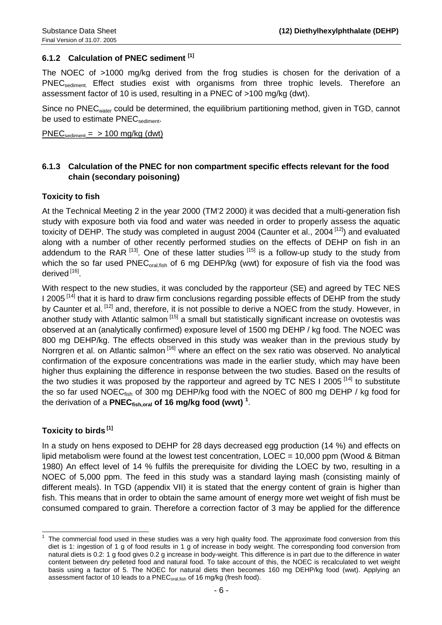### **6.1.2 Calculation of PNEC sediment [1]**

The NOEC of >1000 mg/kg derived from the frog studies is chosen for the derivation of a PNEC<sub>sediment.</sub> Effect studies exist with organisms from three trophic levels. Therefore an assessment factor of 10 is used, resulting in a PNEC of >100 mg/kg (dwt).

Since no PNEC<sub>water</sub> could be determined, the equilibrium partitioning method, given in TGD, cannot be used to estimate PNEC<sub>sediment</sub>.

 $PNEC_{\text{sediment}} = 5100 \text{ mg/kg}$  (dwt)

### **6.1.3 Calculation of the PNEC for non compartment specific effects relevant for the food chain (secondary poisoning)**

#### **Toxicity to fish**

At the Technical Meeting 2 in the year 2000 (TM'2 2000) it was decided that a multi-generation fish study with exposure both via food and water was needed in order to properly assess the aquatic toxicity of DEHP. The study was completed in august 2004 (Caunter et al., 2004<sup>[12]</sup>) and evaluated along with a number of other recently performed studies on the effects of DEHP on fish in an addendum to the RAR  $^{[13]}$ . One of these latter studies  $^{[15]}$  is a follow-up study to the study from which the so far used PNEC<sub>oral, fish</sub> of 6 mg DEHP/kg (wwt) for exposure of fish via the food was derived [16].

With respect to the new studies, it was concluded by the rapporteur (SE) and agreed by TEC NES I 2005<sup>[14]</sup> that it is hard to draw firm conclusions regarding possible effects of DEHP from the study by Caunter et al. <sup>[12]</sup> and, therefore, it is not possible to derive a NOEC from the study. However, in another study with Atlantic salmon [15] a small but statistically significant increase on ovotestis was observed at an (analytically confirmed) exposure level of 1500 mg DEHP / kg food. The NOEC was 800 mg DEHP/kg. The effects observed in this study was weaker than in the previous study by Norrgren et al. on Atlantic salmon <sup>[16]</sup> where an effect on the sex ratio was observed. No analytical confirmation of the exposure concentrations was made in the earlier study, which may have been higher thus explaining the difference in response between the two studies. Based on the results of the two studies it was proposed by the rapporteur and agreed by TC NES I 2005<sup>[14]</sup> to substitute the so far used NOEC<sub>fish</sub> of 300 mg DEHP/kg food with the NOEC of 800 mg DEHP / kg food for the derivation of a PNEC<sub>fish,oral</sub> of 16 mg/kg food (wwt) <sup>1</sup>.

### **Toxicity to birds [1]**

In a study on hens exposed to DEHP for 28 days decreased egg production (14 %) and effects on lipid metabolism were found at the lowest test concentration, LOEC = 10,000 ppm (Wood & Bitman 1980) An effect level of 14 % fulfils the prerequisite for dividing the LOEC by two, resulting in a NOEC of 5,000 ppm. The feed in this study was a standard laying mash (consisting mainly of different meals). In TGD (appendix VII) it is stated that the energy content of grain is higher than fish. This means that in order to obtain the same amount of energy more wet weight of fish must be consumed compared to grain. Therefore a correction factor of 3 may be applied for the difference

 $\overline{\phantom{a}}$ 1 The commercial food used in these studies was a very high quality food. The approximate food conversion from this diet is 1: ingestion of 1 g of food results in 1 g of increase in body weight. The corresponding food conversion from natural diets is 0.2: 1 g food gives 0.2 g increase in body-weight. This difference is in part due to the difference in water content between dry pelleted food and natural food. To take account of this, the NOEC is recalculated to wet weight basis using a factor of 5. The NOEC for natural diets then becomes 160 mg DEHP/kg food (wwt). Applying an assessment factor of 10 leads to a PNEC<sub>oral,fish</sub> of 16 mg/kg (fresh food).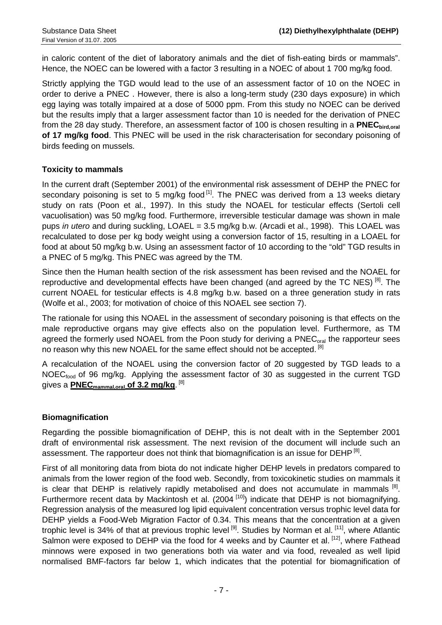in caloric content of the diet of laboratory animals and the diet of fish-eating birds or mammals". Hence, the NOEC can be lowered with a factor 3 resulting in a NOEC of about 1 700 mg/kg food.

Strictly applying the TGD would lead to the use of an assessment factor of 10 on the NOEC in order to derive a PNEC . However, there is also a long-term study (230 days exposure) in which egg laying was totally impaired at a dose of 5000 ppm. From this study no NOEC can be derived but the results imply that a larger assessment factor than 10 is needed for the derivation of PNEC from the 28 day study. Therefore, an assessment factor of 100 is chosen resulting in a **PNEC** bird oral **of 17 mg/kg food**. This PNEC will be used in the risk characterisation for secondary poisoning of birds feeding on mussels.

### **Toxicity to mammals**

In the current draft (September 2001) of the environmental risk assessment of DEHP the PNEC for secondary poisoning is set to 5 mg/kg food  $\left[1\right]$ . The PNEC was derived from a 13 weeks dietary study on rats (Poon et al., 1997). In this study the NOAEL for testicular effects (Sertoli cell vacuolisation) was 50 mg/kg food. Furthermore, irreversible testicular damage was shown in male pups *in utero* and during suckling, LOAEL = 3.5 mg/kg b.w. (Arcadi et al., 1998). This LOAEL was recalculated to dose per kg body weight using a conversion factor of 15, resulting in a LOAEL for food at about 50 mg/kg b.w. Using an assessment factor of 10 according to the "old" TGD results in a PNEC of 5 mg/kg. This PNEC was agreed by the TM.

Since then the Human health section of the risk assessment has been revised and the NOAEL for reproductive and developmental effects have been changed (and agreed by the TC NES)<sup>[8]</sup>. The current NOAEL for testicular effects is 4.8 mg/kg b.w. based on a three generation study in rats (Wolfe et al., 2003; for motivation of choice of this NOAEL see section 7).

The rationale for using this NOAEL in the assessment of secondary poisoning is that effects on the male reproductive organs may give effects also on the population level. Furthermore, as TM agreed the formerly used NOAEL from the Poon study for deriving a PNEC<sub>oral</sub> the rapporteur sees no reason why this new NOAEL for the same effect should not be accepted. <sup>[8]</sup>

A recalculation of the NOAEL using the conversion factor of 20 suggested by TGD leads to a NOEC<sub>food</sub> of 96 mg/kg. Applying the assessment factor of 30 as suggested in the current TGD gives a <mark>PNEC<sub>mammal,oral **of 3.2** mg/kg</mark>. <sup>[8]</sup></mark></sub>

### **Biomagnification**

Regarding the possible biomagnification of DEHP, this is not dealt with in the September 2001 draft of environmental risk assessment. The next revision of the document will include such an assessment. The rapporteur does not think that biomagnification is an issue for DEHP<sup>[8]</sup>.

First of all monitoring data from biota do not indicate higher DEHP levels in predators compared to animals from the lower region of the food web. Secondly, from toxicokinetic studies on mammals it is clear that DEHP is relatively rapidly metabolised and does not accumulate in mammals  $[8]$ . Furthermore recent data by Mackintosh et al. (2004<sup>[10]</sup>) indicate that DEHP is not biomagnifying. Regression analysis of the measured log lipid equivalent concentration versus trophic level data for DEHP yields a Food-Web Migration Factor of 0.34. This means that the concentration at a given trophic level is 34% of that at previous trophic level  $[9]$ . Studies by Norman et al.  $[11]$ , where Atlantic Salmon were exposed to DEHP via the food for 4 weeks and by Caunter et al. [12], where Fathead minnows were exposed in two generations both via water and via food, revealed as well lipid normalised BMF-factors far below 1, which indicates that the potential for biomagnification of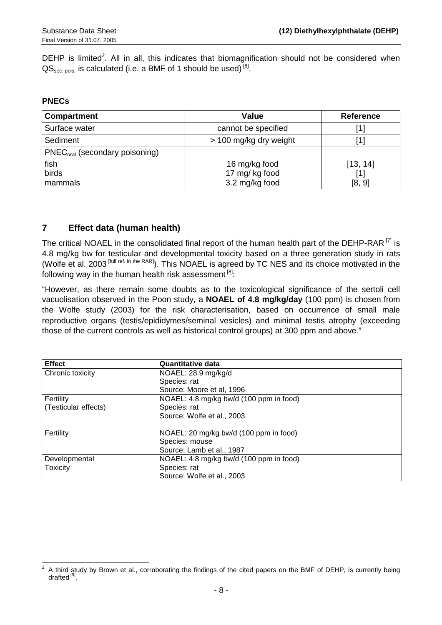DEHP is limited<sup>2</sup>. All in all, this indicates that biomagnification should not be considered when  $\text{QS}_{\text{sec. pois}}$  is calculated (i.e. a BMF of 1 should be used)  $^{[8]}$ .

#### **PNECs**

| <b>Compartment</b>               | Value                                             | <b>Reference</b>          |
|----------------------------------|---------------------------------------------------|---------------------------|
| Surface water                    | cannot be specified                               | [1]                       |
| Sediment                         | > 100 mg/kg dry weight                            |                           |
| $PNECoral$ (secondary poisoning) |                                                   |                           |
| fish<br>birds<br>mammals         | 16 mg/kg food<br>17 mg/ kg food<br>3.2 mg/kg food | [13, 14]<br>[1]<br>[8, 9] |

## **7 Effect data (human health)**

The critical NOAEL in the consolidated final report of the human health part of the DEHP-RAR  $^{[7]}$  is 4.8 mg/kg bw for testicular and developmental toxicity based on a three generation study in rats (Wolfe et al. 2003 [full ref. in the RAR]). This NOAEL is agreed by TC NES and its choice motivated in the following way in the human health risk assessment  $[8]$ :

"However, as there remain some doubts as to the toxicological significance of the sertoli cell vacuolisation observed in the Poon study, a **NOAEL of 4.8 mg/kg/day** (100 ppm) is chosen from the Wolfe study (2003) for the risk characterisation, based on occurrence of small male reproductive organs (testis/epididymes/seminal vesicles) and minimal testis atrophy (exceeding those of the current controls as well as historical control groups) at 300 ppm and above."

| <b>Effect</b>        | <b>Quantitative data</b>                |
|----------------------|-----------------------------------------|
| Chronic toxicity     | NOAEL: 28.9 mg/kg/d                     |
|                      | Species: rat                            |
|                      | Source: Moore et al, 1996               |
| Fertility            | NOAEL: 4.8 mg/kg bw/d (100 ppm in food) |
| (Testicular effects) | Species: rat                            |
|                      | Source: Wolfe et al., 2003              |
| Fertility            | NOAEL: 20 mg/kg bw/d (100 ppm in food)  |
|                      | Species: mouse                          |
|                      | Source: Lamb et al., 1987               |
| Developmental        | NOAEL: 4.8 mg/kg bw/d (100 ppm in food) |
| <b>Toxicity</b>      | Species: rat                            |
|                      | Source: Wolfe et al., 2003              |

<sup>&</sup>lt;sup>2</sup> A third study by Brown et al., corroborating the findings of the cited papers on the BMF of DEHP, is currently being drafted<sup>[9]</sup>.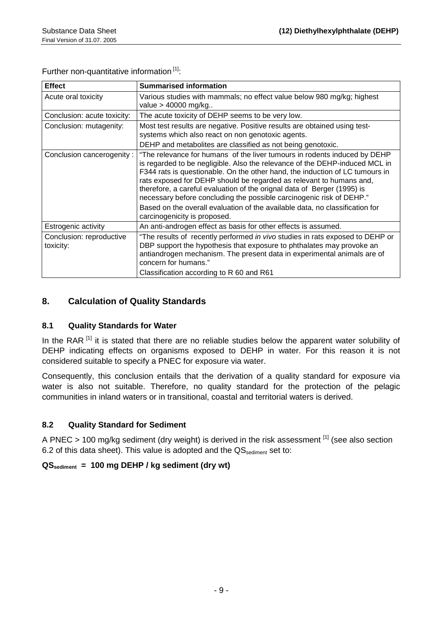Further non-quantitative information<sup>[1]</sup>:

| <b>Effect</b>                         | <b>Summarised information</b>                                                                                                                                                                                                                                                                                                                                                                                                                                                                                                                                                      |
|---------------------------------------|------------------------------------------------------------------------------------------------------------------------------------------------------------------------------------------------------------------------------------------------------------------------------------------------------------------------------------------------------------------------------------------------------------------------------------------------------------------------------------------------------------------------------------------------------------------------------------|
| Acute oral toxicity                   | Various studies with mammals; no effect value below 980 mg/kg; highest<br>value $>$ 40000 mg/kg                                                                                                                                                                                                                                                                                                                                                                                                                                                                                    |
| Conclusion: acute toxicity:           | The acute toxicity of DEHP seems to be very low.                                                                                                                                                                                                                                                                                                                                                                                                                                                                                                                                   |
| Conclusion: mutagenity:               | Most test results are negative. Positive results are obtained using test-<br>systems which also react on non genotoxic agents.<br>DEHP and metabolites are classified as not being genotoxic.                                                                                                                                                                                                                                                                                                                                                                                      |
| Conclusion cancerogenity:             | "The relevance for humans of the liver tumours in rodents induced by DEHP<br>is regarded to be negligible. Also the relevance of the DEHP-induced MCL in<br>F344 rats is questionable. On the other hand, the induction of LC tumours in<br>rats exposed for DEHP should be regarded as relevant to humans and,<br>therefore, a careful evaluation of the orignal data of Berger (1995) is<br>necessary before concluding the possible carcinogenic risk of DEHP."<br>Based on the overall evaluation of the available data, no classification for<br>carcinogenicity is proposed. |
| Estrogenic activity                   | An anti-androgen effect as basis for other effects is assumed.                                                                                                                                                                                                                                                                                                                                                                                                                                                                                                                     |
| Conclusion: reproductive<br>toxicity: | "The results of recently performed in vivo studies in rats exposed to DEHP or<br>DBP support the hypothesis that exposure to phthalates may provoke an<br>antiandrogen mechanism. The present data in experimental animals are of<br>concern for humans."<br>Classification according to R 60 and R61                                                                                                                                                                                                                                                                              |

## **8. Calculation of Quality Standards**

### **8.1 Quality Standards for Water**

In the RAR<sup>[1]</sup> it is stated that there are no reliable studies below the apparent water solubility of DEHP indicating effects on organisms exposed to DEHP in water. For this reason it is not considered suitable to specify a PNEC for exposure via water.

Consequently, this conclusion entails that the derivation of a quality standard for exposure via water is also not suitable. Therefore, no quality standard for the protection of the pelagic communities in inland waters or in transitional, coastal and territorial waters is derived.

### **8.2 Quality Standard for Sediment**

A PNEC > 100 mg/kg sediment (dry weight) is derived in the risk assessment [1] (see also section 6.2 of this data sheet). This value is adopted and the  $\text{QS}_{\text{sediment}}$  set to:

### **QSsediment = 100 mg DEHP / kg sediment (dry wt)**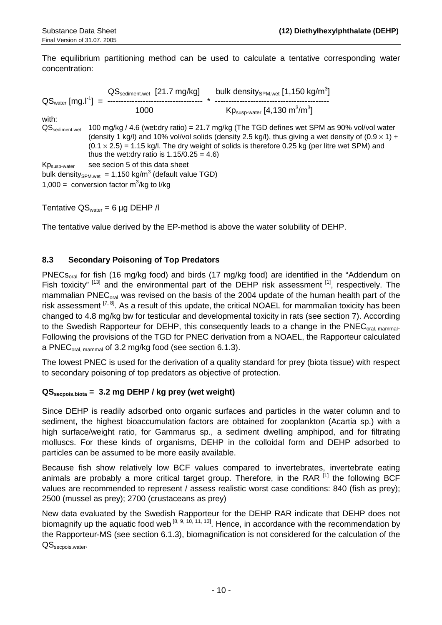The equilibrium partitioning method can be used to calculate a tentative corresponding water concentration:

 $\text{QS}_{\text{sediment.wet}}$  [21.7 mg/kg] bulk density<sub>SPM.wet</sub> [1,150 kg/m<sup>3</sup>] QSwater [mg.l-1] = ----------------------------------- \* ------------------------------------------  $\text{Kp}_{\text{susp-water}} \text{[4,130 m}^3/\text{m}^3\text{]}$ with: QS<sub>sediment.wet</sub> 100 mg/kg / 4.6 (wet:dry ratio) = 21.7 mg/kg (The TGD defines wet SPM as 90% vol/vol water (density 1 kg/l) and 10% vol/vol solids (density 2.5 kg/l), thus giving a wet density of  $(0.9 \times 1) +$  $(0.1 \times 2.5) = 1.15$  kg/l. The dry weight of solids is therefore 0.25 kg (per litre wet SPM) and thus the wet:dry ratio is  $1.15/0.25 = 4.6$ )  $Kp_{\text{suso-water}}$  see secion 5 of this data sheet bulk density<sub>SPM.wet</sub> = 1,150 kg/m<sup>3</sup> (default value TGD) 1,000 = conversion factor  $m^3/kg$  to I/kg

Tentative  $QS<sub>water</sub> = 6 \mu g DEHP /l$ 

The tentative value derived by the EP-method is above the water solubility of DEHP.

### **8.3 Secondary Poisoning of Top Predators**

PNECs<sub>oral</sub> for fish (16 mg/kg food) and birds (17 mg/kg food) are identified in the "Addendum on Fish toxicity"  $[13]$  and the environmental part of the DEHP risk assessment  $[1]$ , respectively. The mammalian PNEC<sub>oral</sub> was revised on the basis of the 2004 update of the human health part of the risk assessment  $[7,8]$ . As a result of this update, the critical NOAEL for mammalian toxicity has been changed to 4.8 mg/kg bw for testicular and developmental toxicity in rats (see section 7). According to the Swedish Rapporteur for DEHP, this consequently leads to a change in the PNEC<sub>oral mammal</sub>. Following the provisions of the TGD for PNEC derivation from a NOAEL, the Rapporteur calculated a PNEC<sub>oral, mammal</sub> of 3.2 mg/kg food (see section 6.1.3).

The lowest PNEC is used for the derivation of a quality standard for prey (biota tissue) with respect to secondary poisoning of top predators as objective of protection.

### **QSsecpois.biota = 3.2 mg DEHP / kg prey (wet weight)**

Since DEHP is readily adsorbed onto organic surfaces and particles in the water column and to sediment, the highest bioaccumulation factors are obtained for zooplankton (Acartia sp.) with a high surface/weight ratio, for Gammarus sp., a sediment dwelling amphipod, and for filtrating molluscs. For these kinds of organisms, DEHP in the colloidal form and DEHP adsorbed to particles can be assumed to be more easily available.

Because fish show relatively low BCF values compared to invertebrates, invertebrate eating animals are probably a more critical target group. Therefore, in the RAR [1] the following BCF values are recommended to represent / assess realistic worst case conditions: 840 (fish as prey); 2500 (mussel as prey); 2700 (crustaceans as prey)

New data evaluated by the Swedish Rapporteur for the DEHP RAR indicate that DEHP does not biomagnify up the aquatic food web  $[8, 9, 10, 11, 13]$ . Hence, in accordance with the recommendation by the Rapporteur-MS (see section 6.1.3), biomagnification is not considered for the calculation of the QS<sub>secpois</sub>.water.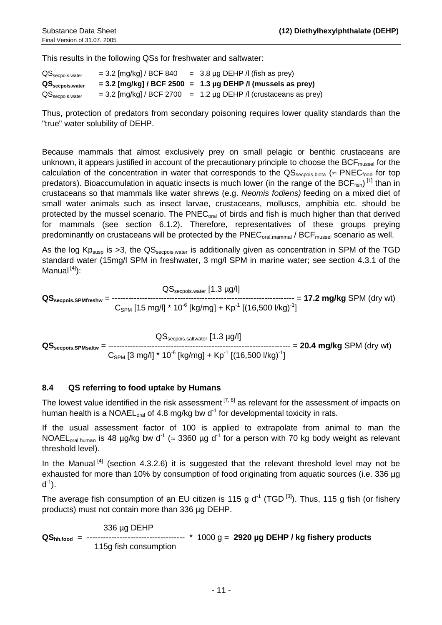This results in the following QSs for freshwater and saltwater:

| $\textsf{QS}_{\sf seepois.water}$      | $= 3.2$ [mg/kg] / BCF 840 | $=$ 3.8 µg DEHP /l (fish as prey)                                  |
|----------------------------------------|---------------------------|--------------------------------------------------------------------|
| $\mathsf{QS}_{\mathsf{seepois.water}}$ |                           | $= 3.2$ [mg/kg] / BCF 2500 = 1.3 µg DEHP / (mussels as prey)       |
| $\textsf{QS}_{\sf seepois.water}$      |                           | $= 3.2$ [mg/kg] / BCF 2700 $= 1.2$ µg DEHP / (crustaceans as prey) |

Thus, protection of predators from secondary poisoning requires lower quality standards than the "true" water solubility of DEHP.

Because mammals that almost exclusively prey on small pelagic or benthic crustaceans are unknown, it appears justified in account of the precautionary principle to choose the  $BCF<sub>mussel</sub>$  for the calculation of the concentration in water that corresponds to the  $\text{QS}_{\text{seconds~binta}}$  ( $\approx \text{PNEC}_{\text{food}}$  for top predators). Bioaccumulation in aquatic insects is much lower (in the range of the BCF<sub>fish</sub>)<sup>[1]</sup> than in crustaceans so that mammals like water shrews (e.g. *Neomis fodiens)* feeding on a mixed diet of small water animals such as insect larvae, crustaceans, molluscs, amphibia etc. should be protected by the mussel scenario. The PNEC<sub>oral</sub> of birds and fish is much higher than that derived for mammals (see section 6.1.2). Therefore, representatives of these groups preying predominantly on crustaceans will be protected by the  $\text{PNEC}_{\text{oral~mammal}}$  / BCF<sub>mussel</sub> scenario as well.

As the log  $Kp_{susp}$  is >3, the  $QS_{\text{seepois water}}$  is additionally given as concentration in SPM of the TGD standard water (15mg/l SPM in freshwater, 3 mg/l SPM in marine water; see section 4.3.1 of the Manual  $[4]$ :

 QSsecpois.water [1.3 µg/l] **QSsecpois.SPMfreshw** = ------------------------------------------------------------------- = **17.2 mg/kg** SPM (dry wt)  $C_{SPM}$  [15 mg/l] \* 10<sup>-6</sup> [kg/mg] + Kp<sup>-1</sup> [(16,500 l/kg)<sup>-1</sup>]

 QSsecpois.saltwater [1.3 µg/l] **QSsecpois.SPMsaltw** = ------------------------------------------------------------------- = **20.4 mg/kg** SPM (dry wt)  $C_{SPM}$  [3 mg/l] \* 10<sup>-6</sup> [kg/mg] + Kp<sup>-1</sup> [(16,500 l/kg)<sup>-1</sup>]

## **8.4 QS referring to food uptake by Humans**

The lowest value identified in the risk assessment  $[7, 8]$  as relevant for the assessment of impacts on human health is a NOAEL<sub>oral</sub> of 4.8 mg/kg bw  $d<sup>-1</sup>$  for developmental toxicity in rats.

If the usual assessment factor of 100 is applied to extrapolate from animal to man the NOAEL<sub>oral.human</sub> is 48 µg/kg bw d<sup>-1</sup> ( $\approx$  3360 µg d<sup>-1</sup> for a person with 70 kg body weight as relevant threshold level).

In the Manual  $[4]$  (section 4.3.2.6) it is suggested that the relevant threshold level may not be exhausted for more than 10% by consumption of food originating from aquatic sources (i.e. 336 µg  $d^{-1}$ ).

The average fish consumption of an EU citizen is 115 g  $d^{-1}$  (TGD <sup>[3]</sup>). Thus, 115 g fish (or fishery products) must not contain more than 336 µg DEHP.

336 µg DEHP<br>----------------------**QShh.food** = ------------------------------------ \* 1000 g = **2920 µg DEHP / kg fishery products** 115g fish consumption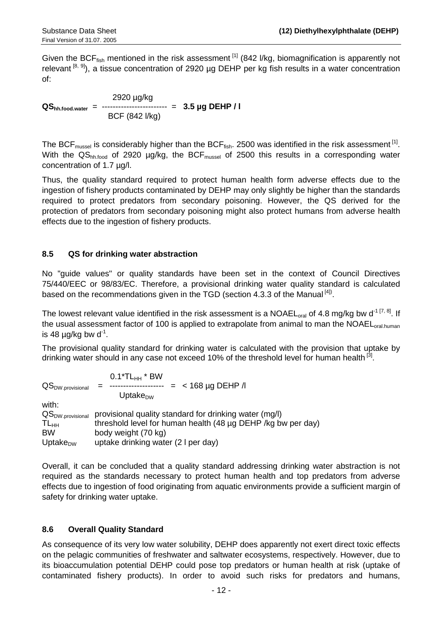Given the BCF<sub>fish</sub> mentioned in the risk assessment <sup>[1]</sup> (842 l/kg, biomagnification is apparently not relevant  $[8, 9]$ ), a tissue concentration of 2920 µg DEHP per kg fish results in a water concentration of:

 2920 µg/kg **QShh.food.water** = ------------------------ = **3.5 µg DEHP / l** BCF (842 l/kg)

The BCF<sub>mussel</sub> is considerably higher than the BCF<sub>fish</sub>. 2500 was identified in the risk assessment <sup>[1]</sup>. With the QS<sub>hh.food</sub> of 2920 µg/kg, the BCF<sub>mussel</sub> of 2500 this results in a corresponding water concentration of 1.7 µg/l.

Thus, the quality standard required to protect human health form adverse effects due to the ingestion of fishery products contaminated by DEHP may only slightly be higher than the standards required to protect predators from secondary poisoning. However, the QS derived for the protection of predators from secondary poisoning might also protect humans from adverse health effects due to the ingestion of fishery products.

### **8.5 QS for drinking water abstraction**

No "guide values" or quality standards have been set in the context of Council Directives 75/440/EEC or 98/83/EC. Therefore, a provisional drinking water quality standard is calculated based on the recommendations given in the TGD (section 4.3.3 of the Manual  $^{[4]}$ ).

The lowest relevant value identified in the risk assessment is a NOAEL<sub>oral</sub> of 4.8 mg/kg bw d<sup>-1 [7, 8]</sup>. If the usual assessment factor of 100 is applied to extrapolate from animal to man the NOAEL<sub>oral human</sub> is 48  $\mu$ g/kg bw d<sup>-1</sup>.

The provisional quality standard for drinking water is calculated with the provision that uptake by drinking water should in any case not exceed 10% of the threshold level for human health<sup>[3]</sup>.

|                              | $0.1*TL_{HH}*BW$                                             |
|------------------------------|--------------------------------------------------------------|
| QS <sub>DW.provisional</sub> | $= 168 \mu g$ DEHP /                                         |
|                              | Uptake $_{\text{DW}}$                                        |
| with:                        |                                                              |
| QS <sub>DW.provisional</sub> | provisional quality standard for drinking water (mg/l)       |
| $TL_{HH}$                    | threshold level for human health (48 µg DEHP /kg bw per day) |
| <b>BW</b>                    | body weight (70 kg)                                          |
| Uptake $_{\text{DW}}$        | uptake drinking water (2 I per day)                          |

Overall, it can be concluded that a quality standard addressing drinking water abstraction is not required as the standards necessary to protect human health and top predators from adverse effects due to ingestion of food originating from aquatic environments provide a sufficient margin of safety for drinking water uptake.

### **8.6 Overall Quality Standard**

As consequence of its very low water solubility, DEHP does apparently not exert direct toxic effects on the pelagic communities of freshwater and saltwater ecosystems, respectively. However, due to its bioaccumulation potential DEHP could pose top predators or human health at risk (uptake of contaminated fishery products). In order to avoid such risks for predators and humans,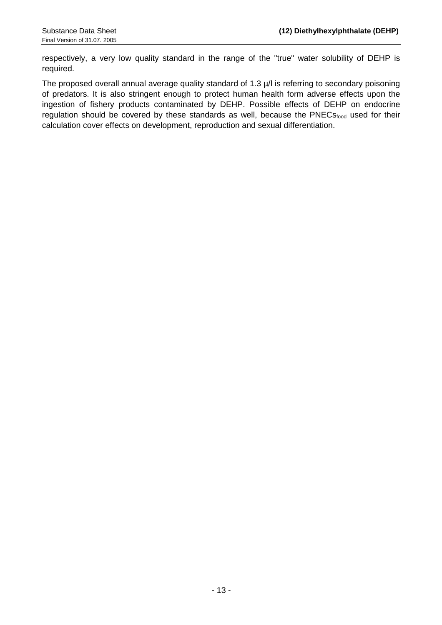respectively, a very low quality standard in the range of the "true" water solubility of DEHP is required.

The proposed overall annual average quality standard of 1.3  $\mu$ /l is referring to secondary poisoning of predators. It is also stringent enough to protect human health form adverse effects upon the ingestion of fishery products contaminated by DEHP. Possible effects of DEHP on endocrine regulation should be covered by these standards as well, because the PNECs<sub>food</sub> used for their calculation cover effects on development, reproduction and sexual differentiation.